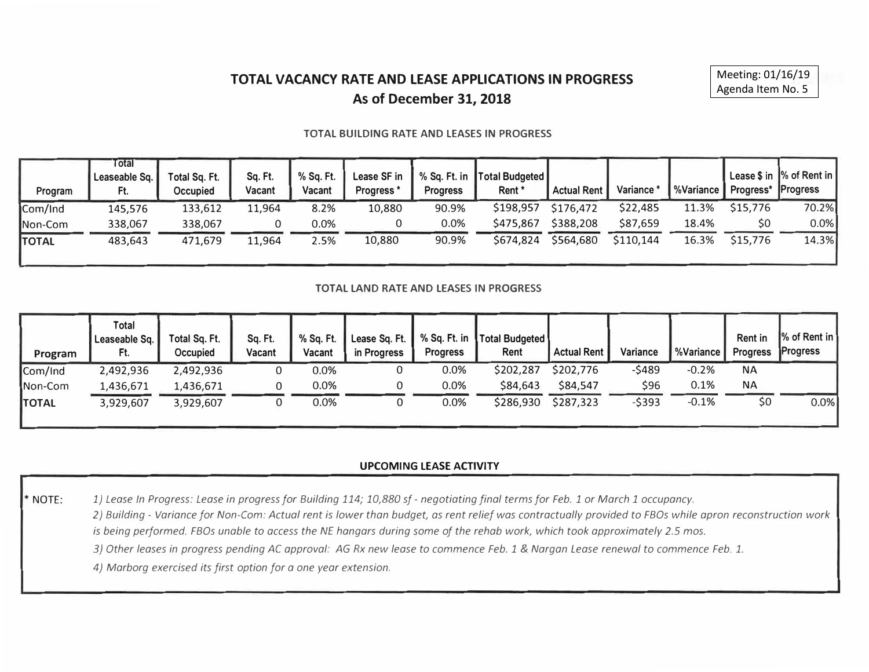# **TOTAL VACANCY RATE AND LEASE APPLICATIONS IN PROGRESS As of December 31, 2018**

#### **TOTAL BUILDING RATE AND LEASES IN PROGRESS**

| Program      | Total<br>Leaseable Sq.<br>Ft. | Total Sq. Ft.<br>Occupied | Sq. Ft.<br>Vacant | % Sq. Ft.<br>Vacant | Lease SF in<br><b>Progress</b> | % Sq. Ft. in<br><b>Progress</b> | Total Budgeted<br>Rent * | <b>Actual Rent</b> | Variance  | %Variance | Progress* | <sup>1</sup> Lease \$ in  % of Rent in  <br><b>Progress</b> |
|--------------|-------------------------------|---------------------------|-------------------|---------------------|--------------------------------|---------------------------------|--------------------------|--------------------|-----------|-----------|-----------|-------------------------------------------------------------|
| Com/Ind      | 145,576                       | 133,612                   | 11,964            | 8.2%                | 10,880                         | 90.9%                           | \$198,957                | \$176,472          | \$22,485  | 11.3%     | \$15,776  | 70.2%                                                       |
| Non-Com      | 338,067                       | 338,067                   |                   | 0.0%                |                                | 0.0%                            | \$475,867                | \$388,208          | \$87,659  | 18.4%     | \$0       | $0.0\%$                                                     |
| <b>TOTAL</b> | 483,643                       | 471,679                   | 11,964            | 2.5%                | 10,880                         | 90.9%                           | \$674,824                | \$564,680          | \$110,144 | 16.3%     | \$15,776  | 14.3%                                                       |

#### **TOTAL LAND RATE AND LEASES IN PROGRESS**

| Program      | Total<br>Leaseable Sq.<br>Ft. | Total Sq. Ft.<br>Occupied | Sq. Ft.<br>Vacant | % Sq. Ft.<br>Vacant | Lease Sq. Ft.  <br>in Progress | <b>Progress</b> | % Sq. Ft. in Total Budgeted<br>Rent | <b>Actual Rent</b> | Variance | <b>%Variance</b> | <b>Rent in</b><br><b>Progress</b> | $\sqrt{8}$ of Rent in<br><b>Progress</b> |
|--------------|-------------------------------|---------------------------|-------------------|---------------------|--------------------------------|-----------------|-------------------------------------|--------------------|----------|------------------|-----------------------------------|------------------------------------------|
| Com/Ind      | 2,492,936                     | 2,492,936                 |                   | 0.0%                |                                | $0.0\%$         | \$202,287                           | \$202,776          | -\$489   | $-0.2%$          | <b>NA</b>                         |                                          |
| Non-Com      | 1,436,671                     | 1,436,671                 |                   | 0.0%                |                                | $0.0\%$         | \$84,643                            | \$84,547           | \$96     | 0.1%             | <b>NA</b>                         |                                          |
| <b>TOTAL</b> | 3,929,607                     | 3,929,607                 |                   | 0.0%                |                                | 0.0%            | \$286,930                           | \$287,323          | $-5393$  | $-0.1%$          | \$0                               | 0.0%                                     |

### **UPCOMING LEASE ACTIVITY**

**\* NOTE:** *1) Lease In Progress: Lease in progress for Building 114; 10,880 sf- negotiating final terms for Feb. 1 or March 1 occupancy.*

*2) Building - Variance for Non-Com: Actual rent is lower than budget, as rent relief was contractually provided to FBOs while apron reconstruction work is being performed. FBOs unable to access the NE hangars during some of the rehab work, which took approximately 2.5 mos.* 

*3) Other leases in progress pending AC approval: AG Rx new lease to commence Feb. 1* & *Norgan Lease renewal to commence Feb. 1.*

*4) Marborg exercised its first option for o one year extension.*